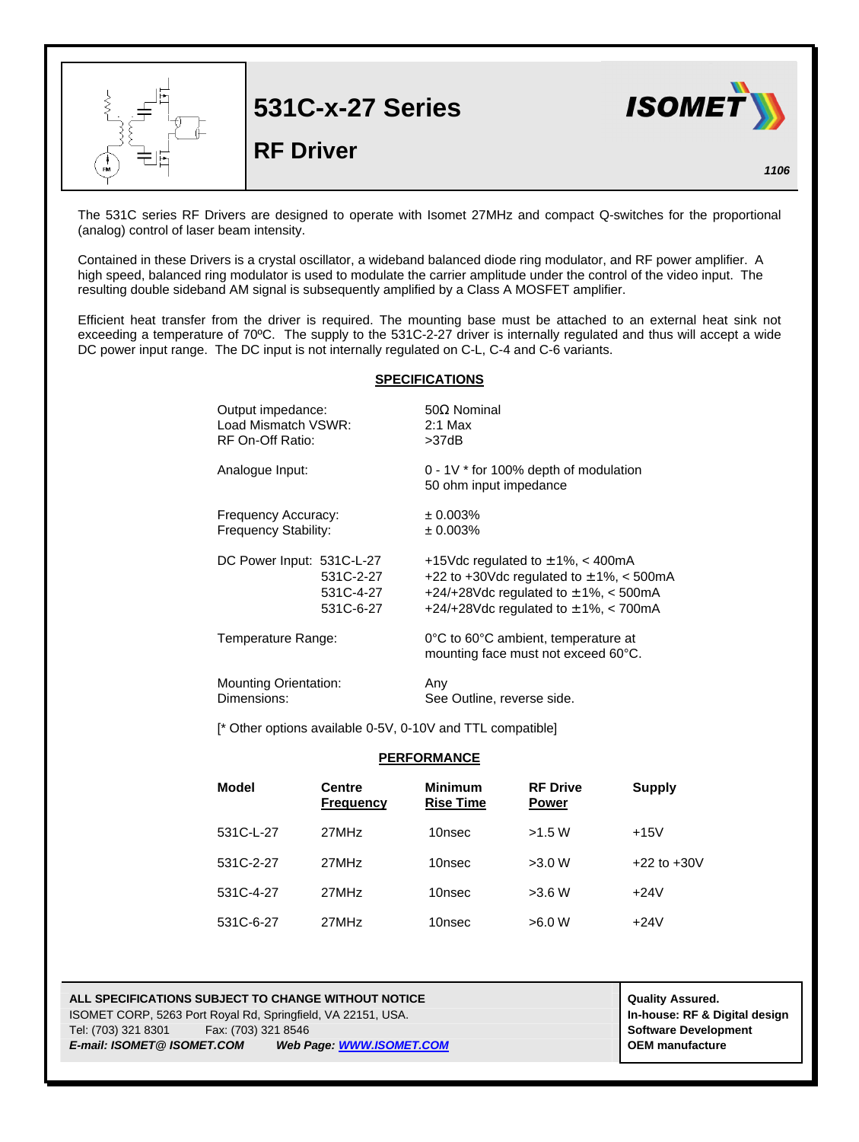

The 531C series RF Drivers are designed to operate with Isomet 27MHz and compact Q-switches for the proportional (analog) control of laser beam intensity.

Contained in these Drivers is a crystal oscillator, a wideband balanced diode ring modulator, and RF power amplifier. A high speed, balanced ring modulator is used to modulate the carrier amplitude under the control of the video input. The resulting double sideband AM signal is subsequently amplified by a Class A MOSFET amplifier.

Efficient heat transfer from the driver is required. The mounting base must be attached to an external heat sink not exceeding a temperature of 70ºC. The supply to the 531C-2-27 driver is internally regulated and thus will accept a wide DC power input range. The DC input is not internally regulated on C-L, C-4 and C-6 variants.

## **SPECIFICATIONS**

| Output impedance:            | $50\Omega$ Nominal                                                         |  |
|------------------------------|----------------------------------------------------------------------------|--|
| Load Mismatch VSWR:          | $2:1$ Max                                                                  |  |
| RF On-Off Ratio:             | >37dB                                                                      |  |
| Analogue Input:              | 0 - 1V * for 100% depth of modulation<br>50 ohm input impedance            |  |
| Frequency Accuracy:          | ± 0.003%                                                                   |  |
| Frequency Stability:         | ± 0.003%                                                                   |  |
| DC Power Input: 531C-L-27    | +15Vdc regulated to $\pm$ 1%, < 400mA                                      |  |
| 531C-2-27                    | +22 to +30Vdc regulated to $\pm$ 1%, < 500mA                               |  |
| 531C-4-27                    | +24/+28Vdc regulated to $\pm$ 1%, < 500mA                                  |  |
| 531C-6-27                    | +24/+28Vdc regulated to $\pm$ 1%, < 700mA                                  |  |
| Temperature Range:           | 0°C to 60°C ambient, temperature at<br>mounting face must not exceed 60°C. |  |
| <b>Mounting Orientation:</b> | Any                                                                        |  |
| Dimensions:                  | See Outline, reverse side.                                                 |  |

[\* Other options available 0-5V, 0-10V and TTL compatible]

## **PERFORMANCE**

| <b>Model</b> | <b>Centre</b><br><b>Frequency</b> | <b>Minimum</b><br><b>Rise Time</b> | <b>RF Drive</b><br><b>Power</b> | <b>Supply</b>   |
|--------------|-----------------------------------|------------------------------------|---------------------------------|-----------------|
| 531C-L-27    | 27MHz                             | 10nsec                             | >1.5 W                          | $+15V$          |
| 531C-2-27    | 27MHz                             | 10nsec                             | >3.0 W                          | $+22$ to $+30V$ |
| 531C-4-27    | 27MHz                             | 10nsec                             | >3.6 W                          | $+24V$          |
| 531C-6-27    | 27MHz                             | 10nsec                             | >6.0 W                          | $+24V$          |

## **ALL SPECIFICATIONS SUBJECT TO CHANGE WITHOUT NOTICE And CONTACT ASSURANT CONTRACT ASSURED.** ISOMET CORP, 5263 Port Royal Rd, Springfield, VA 22151, USA. **In-house: RF & Digital design** Tel: (703) 321 8301 Fax: (703) 321 8546 **Software Development** *E-mail: ISOMET@ ISOMET.COM Web Page: WWW.ISOMET.COM* **OEM manufacture**